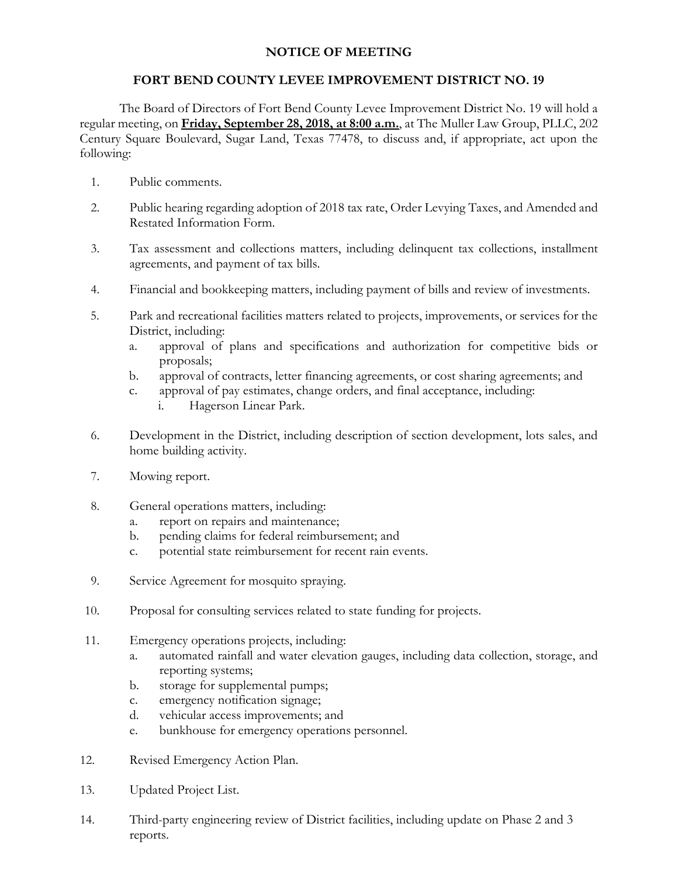## **NOTICE OF MEETING**

## **FORT BEND COUNTY LEVEE IMPROVEMENT DISTRICT NO. 19**

The Board of Directors of Fort Bend County Levee Improvement District No. 19 will hold a regular meeting, on **Friday, September 28, 2018, at 8:00 a.m.**, at The Muller Law Group, PLLC, 202 Century Square Boulevard, Sugar Land, Texas 77478, to discuss and, if appropriate, act upon the following:

- 1. Public comments.
- 2. Public hearing regarding adoption of 2018 tax rate, Order Levying Taxes, and Amended and Restated Information Form.
- 3. Tax assessment and collections matters, including delinquent tax collections, installment agreements, and payment of tax bills.
- 4. Financial and bookkeeping matters, including payment of bills and review of investments.
- 5. Park and recreational facilities matters related to projects, improvements, or services for the District, including:
	- a. approval of plans and specifications and authorization for competitive bids or proposals;
	- b. approval of contracts, letter financing agreements, or cost sharing agreements; and
	- c. approval of pay estimates, change orders, and final acceptance, including:
		- i. Hagerson Linear Park.
- 6. Development in the District, including description of section development, lots sales, and home building activity.
- 7. Mowing report.
- 8. General operations matters, including:
	- a. report on repairs and maintenance;
	- b. pending claims for federal reimbursement; and
	- c. potential state reimbursement for recent rain events.
- 9. Service Agreement for mosquito spraying.
- 10. Proposal for consulting services related to state funding for projects.
- 11. Emergency operations projects, including:
	- a. automated rainfall and water elevation gauges, including data collection, storage, and reporting systems;
	- b. storage for supplemental pumps;
	- c. emergency notification signage;
	- d. vehicular access improvements; and
	- e. bunkhouse for emergency operations personnel.
- 12. Revised Emergency Action Plan.
- 13. Updated Project List.
- 14. Third-party engineering review of District facilities, including update on Phase 2 and 3 reports.